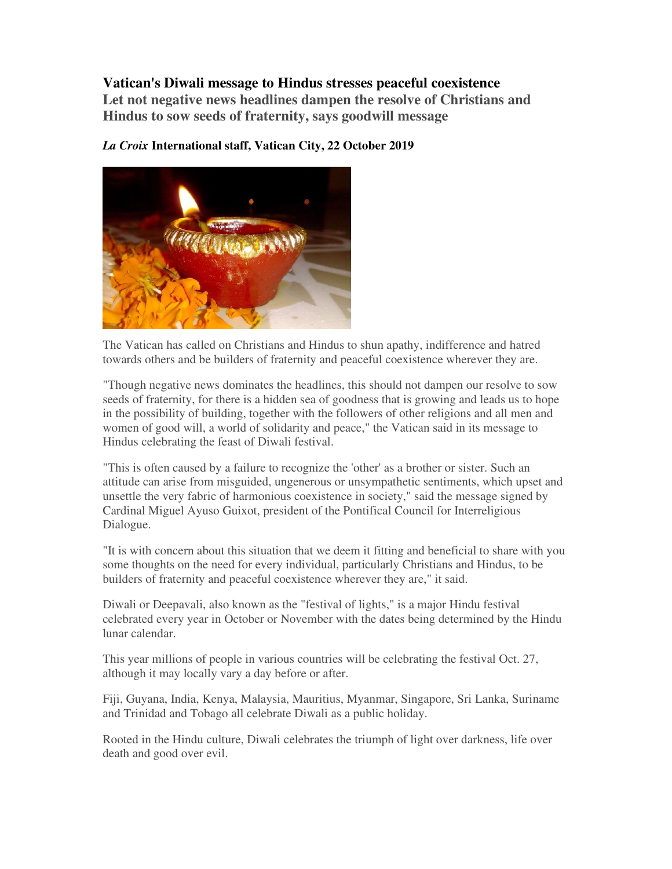## **Vatican's Diwali message to Hindus stresses peaceful coexistence**

**Let not negative news headlines dampen the resolve of Christians and Hindus to sow seeds of fraternity, says goodwill message** 



*La Croix* **International staff, Vatican City, 22 October 2019**

The Vatican has called on Christians and Hindus to shun apathy, indifference and hatred towards others and be builders of fraternity and peaceful coexistence wherever they are.

"Though negative news dominates the headlines, this should not dampen our resolve to sow seeds of fraternity, for there is a hidden sea of goodness that is growing and leads us to hope in the possibility of building, together with the followers of other religions and all men and women of good will, a world of solidarity and peace," the Vatican said in its message to Hindus celebrating the feast of Diwali festival.

"This is often caused by a failure to recognize the 'other' as a brother or sister. Such an attitude can arise from misguided, ungenerous or unsympathetic sentiments, which upset and unsettle the very fabric of harmonious coexistence in society," said the message signed by Cardinal Miguel Ayuso Guixot, president of the Pontifical Council for Interreligious Dialogue.

"It is with concern about this situation that we deem it fitting and beneficial to share with you some thoughts on the need for every individual, particularly Christians and Hindus, to be builders of fraternity and peaceful coexistence wherever they are," it said.

Diwali or Deepavali, also known as the "festival of lights," is a major Hindu festival celebrated every year in October or November with the dates being determined by the Hindu lunar calendar.

This year millions of people in various countries will be celebrating the festival Oct. 27, although it may locally vary a day before or after.

Fiji, Guyana, India, Kenya, Malaysia, Mauritius, Myanmar, Singapore, Sri Lanka, Suriname and Trinidad and Tobago all celebrate Diwali as a public holiday.

Rooted in the Hindu culture, Diwali celebrates the triumph of light over darkness, life over death and good over evil.